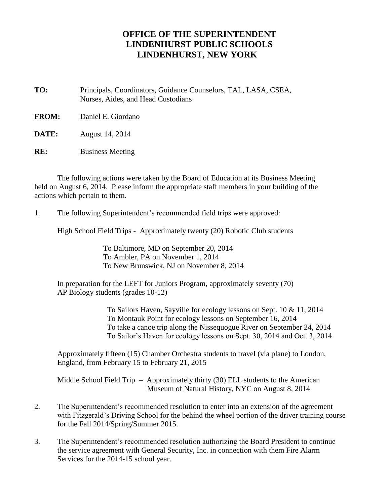## **OFFICE OF THE SUPERINTENDENT LINDENHURST PUBLIC SCHOOLS LINDENHURST, NEW YORK**

**TO:** Principals, Coordinators, Guidance Counselors, TAL, LASA, CSEA, Nurses, Aides, and Head Custodians

**FROM:** Daniel E. Giordano

**DATE:** August 14, 2014

**RE:** Business Meeting

The following actions were taken by the Board of Education at its Business Meeting held on August 6, 2014. Please inform the appropriate staff members in your building of the actions which pertain to them.

1. The following Superintendent's recommended field trips were approved:

High School Field Trips - Approximately twenty (20) Robotic Club students

To Baltimore, MD on September 20, 2014 To Ambler, PA on November 1, 2014 To New Brunswick, NJ on November 8, 2014

In preparation for the LEFT for Juniors Program, approximately seventy (70) AP Biology students (grades 10-12)

> To Sailors Haven, Sayville for ecology lessons on Sept. 10 & 11, 2014 To Montauk Point for ecology lessons on September 16, 2014 To take a canoe trip along the Nissequogue River on September 24, 2014 To Sailor's Haven for ecology lessons on Sept. 30, 2014 and Oct. 3, 2014

Approximately fifteen (15) Chamber Orchestra students to travel (via plane) to London, England, from February 15 to February 21, 2015

Middle School Field Trip – Approximately thirty (30) ELL students to the American Museum of Natural History, NYC on August 8, 2014

- 2. The Superintendent's recommended resolution to enter into an extension of the agreement with Fitzgerald's Driving School for the behind the wheel portion of the driver training course for the Fall 2014/Spring/Summer 2015.
- 3. The Superintendent's recommended resolution authorizing the Board President to continue the service agreement with General Security, Inc. in connection with them Fire Alarm Services for the 2014-15 school year.